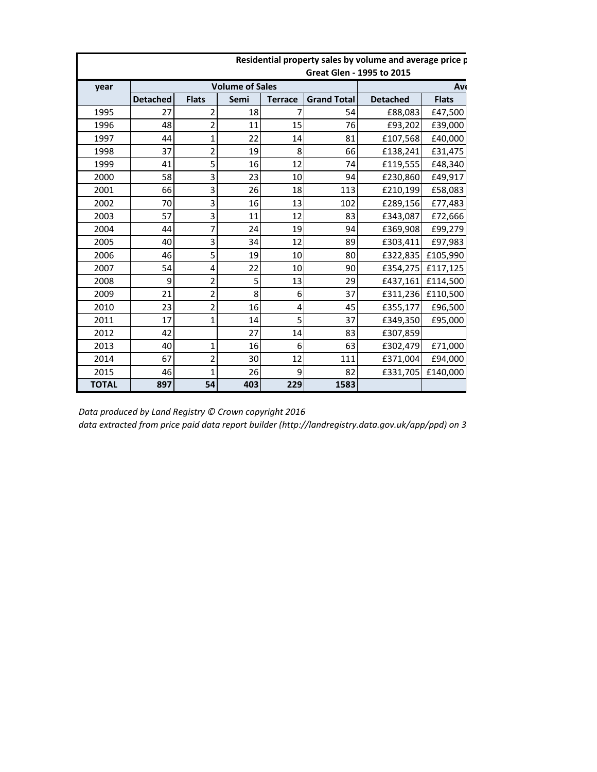|              | nesidential property saies by volume and average price <b>p</b><br><b>Great Glen - 1995 to 2015</b> |                        |           |                |                    |                 |              |  |  |
|--------------|-----------------------------------------------------------------------------------------------------|------------------------|-----------|----------------|--------------------|-----------------|--------------|--|--|
| year         |                                                                                                     | <b>Volume of Sales</b> | <b>Av</b> |                |                    |                 |              |  |  |
|              | <b>Detached</b>                                                                                     | <b>Flats</b>           | Semi      | <b>Terrace</b> | <b>Grand Total</b> | <b>Detached</b> | <b>Flats</b> |  |  |
| 1995         | 27                                                                                                  | 2                      | 18        |                | 54                 | £88,083         | £47,500      |  |  |
| 1996         | 48                                                                                                  | 2                      | 11        | 15             | 76                 | £93,202         | £39,000      |  |  |
| 1997         | 44                                                                                                  | 1                      | 22        | 14             | 81                 | £107,568        | £40,000      |  |  |
| 1998         | 37                                                                                                  | 2                      | 19        | 8              | 66                 | £138,241        | £31,475      |  |  |
| 1999         | 41                                                                                                  | 5                      | 16        | 12             | 74                 | £119,555        | £48,340      |  |  |
| 2000         | 58                                                                                                  | 3                      | 23        | 10             | 94                 | £230,860        | £49,917      |  |  |
| 2001         | 66                                                                                                  | 3                      | 26        | 18             | 113                | £210,199        | £58,083      |  |  |
| 2002         | 70                                                                                                  | 3                      | 16        | 13             | 102                | £289,156        | £77,483      |  |  |
| 2003         | 57                                                                                                  | 3                      | 11        | 12             | 83                 | £343,087        | £72,666      |  |  |
| 2004         | 44                                                                                                  |                        | 24        | 19             | 94                 | £369,908        | £99,279      |  |  |
| 2005         | 40                                                                                                  | 3                      | 34        | 12             | 89                 | £303,411        | £97,983      |  |  |
| 2006         | 46                                                                                                  | 5                      | 19        | 10             | 80                 | £322,835        | £105,990     |  |  |
| 2007         | 54                                                                                                  | 4                      | 22        | 10             | 90                 | £354,275        | £117,125     |  |  |
| 2008         | 9                                                                                                   | 2                      | 5         | 13             | 29                 | £437,161        | £114,500     |  |  |
| 2009         | 21                                                                                                  | $\overline{2}$         | 8         | 6              | 37                 | £311,236        | £110,500     |  |  |
| 2010         | 23                                                                                                  | 2                      | 16        | 4              | 45                 | £355,177        | £96,500      |  |  |
| 2011         | 17                                                                                                  | 1                      | 14        | 5              | 37                 | £349,350        | £95,000      |  |  |
| 2012         | 42                                                                                                  |                        | 27        | 14             | 83                 | £307,859        |              |  |  |
| 2013         | 40                                                                                                  | 1                      | 16        | 6              | 63                 | £302,479        | £71,000      |  |  |
| 2014         | 67                                                                                                  | 2                      | 30        | 12             | 111                | £371,004        | £94,000      |  |  |
| 2015         | 46                                                                                                  | 1                      | 26        | 9              | 82                 | £331,705        | £140,000     |  |  |
| <b>TOTAL</b> | 897                                                                                                 | 54                     | 403       | 229            | 1583               |                 |              |  |  |

## **Residential property sales by volume and average price paid at a set of the state of the Residential**

*Data produced by Land Registry © Crown copyright 2016*

*data extracted from price paid data report builder (http://landregistry.data.gov.uk/app/ppd) on 3.5.16*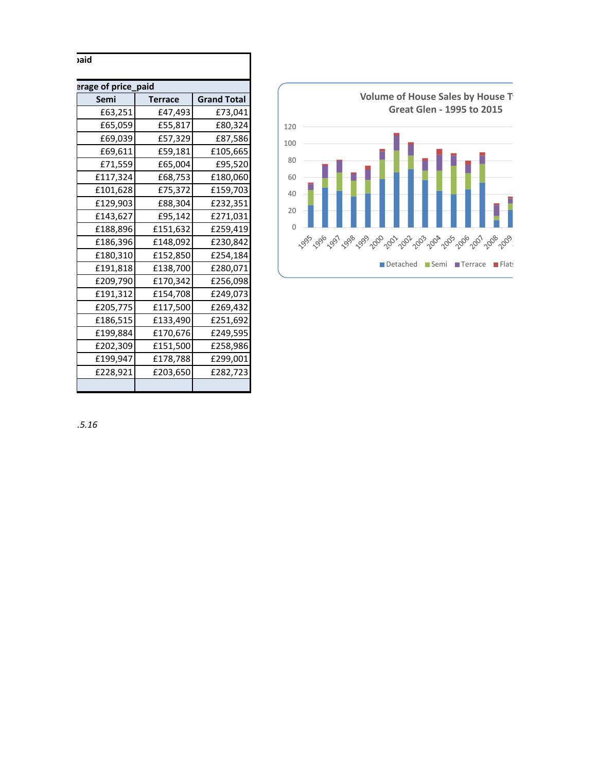| erage of price_paid |                |                    |  |  |  |  |  |  |
|---------------------|----------------|--------------------|--|--|--|--|--|--|
| Semi                | <b>Terrace</b> | <b>Grand Total</b> |  |  |  |  |  |  |
| £63,251             | £47,493        | £73,041            |  |  |  |  |  |  |
| £65,059             | £55,817        | £80,324            |  |  |  |  |  |  |
| £69,039             | £57,329        | £87,586            |  |  |  |  |  |  |
| £69,611             | £59,181        | £105,665           |  |  |  |  |  |  |
| £71,559             | £65,004        | £95,520            |  |  |  |  |  |  |
| £117,324            | £68,753        | £180,060           |  |  |  |  |  |  |
| £101,628            | £75,372        | £159,703           |  |  |  |  |  |  |
| £129,903            | £88,304        | £232,351           |  |  |  |  |  |  |
| £143,627            | £95,142        | £271,031           |  |  |  |  |  |  |
| £188,896            | £151,632       | £259,419           |  |  |  |  |  |  |
| £186,396            | £148,092       | £230,842           |  |  |  |  |  |  |
| £180,310            | £152,850       | £254,184           |  |  |  |  |  |  |
| £191,818            | £138,700       | £280,071           |  |  |  |  |  |  |
| £209,790            | £170,342       | £256,098           |  |  |  |  |  |  |
| £191,312            | £154,708       | £249,073           |  |  |  |  |  |  |
| £205,775            | £117,500       | £269,432           |  |  |  |  |  |  |
| £186,515            | £133,490       | £251,692           |  |  |  |  |  |  |
| £199,884            | £170,676       | £249,595           |  |  |  |  |  |  |
| £202,309            | £151,500       | £258,986           |  |  |  |  |  |  |
| £199,947            | £178,788       | £299,001           |  |  |  |  |  |  |
| £228,921            | £203,650       | £282,723           |  |  |  |  |  |  |



*data extracted from price paid data report builder (http://landregistry.data.gov.uk/app/ppd) on 3.5.16*

**Residential property sales by volume and average price paid**